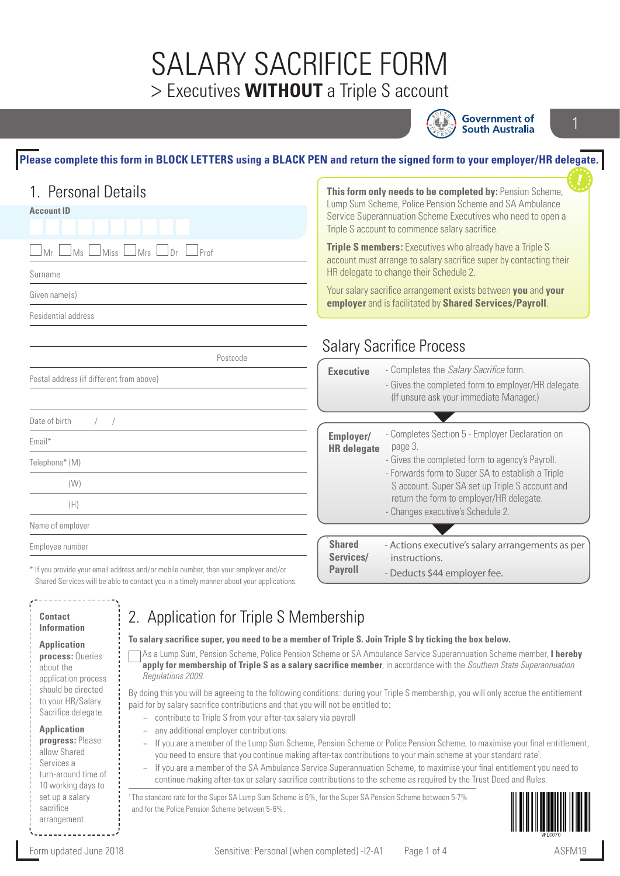## SALARY SACRIFICE FORM > Executives **WITHOUT** a Triple S account



**Government of South Australia** 

#### **Please complete this form in BLOCK LETTERS using a BLACK PEN and return the signed form to your employer/HR delegate.**

| 1. Personal Details                                              |                                                                                                                                                                                                                                                                                                                                                                                                                                                                                   | This form only needs to be completed by: Pension Scheme,                                             |  |
|------------------------------------------------------------------|-----------------------------------------------------------------------------------------------------------------------------------------------------------------------------------------------------------------------------------------------------------------------------------------------------------------------------------------------------------------------------------------------------------------------------------------------------------------------------------|------------------------------------------------------------------------------------------------------|--|
| <b>Account ID</b>                                                | Lump Sum Scheme, Police Pension Scheme and SA Ambulance<br>Service Superannuation Scheme Executives who need to open a<br>Triple S account to commence salary sacrifice.<br>Triple S members: Executives who already have a Triple S<br>account must arrange to salary sacrifice super by contacting their<br>HR delegate to change their Schedule 2.<br>Your salary sacrifice arrangement exists between you and your<br>employer and is facilitated by Shared Services/Payroll. |                                                                                                      |  |
| MS<br>Mrs<br>Prof<br>$\Box$ Miss<br><u>J</u> Dr<br>Mr<br>Surname |                                                                                                                                                                                                                                                                                                                                                                                                                                                                                   |                                                                                                      |  |
| Given name(s)                                                    |                                                                                                                                                                                                                                                                                                                                                                                                                                                                                   |                                                                                                      |  |
| Residential address                                              |                                                                                                                                                                                                                                                                                                                                                                                                                                                                                   |                                                                                                      |  |
|                                                                  |                                                                                                                                                                                                                                                                                                                                                                                                                                                                                   | <b>Salary Sacrifice Process</b>                                                                      |  |
| Postcode                                                         | <b>Executive</b>                                                                                                                                                                                                                                                                                                                                                                                                                                                                  | - Completes the Salary Sacrifice form.                                                               |  |
| Postal address (if different from above)                         |                                                                                                                                                                                                                                                                                                                                                                                                                                                                                   | - Gives the completed form to employer/HR delegate.<br>(If unsure ask your immediate Manager.)       |  |
| Date of birth                                                    |                                                                                                                                                                                                                                                                                                                                                                                                                                                                                   |                                                                                                      |  |
| Email*                                                           | Employer/<br><b>HR</b> delegate                                                                                                                                                                                                                                                                                                                                                                                                                                                   | - Completes Section 5 - Employer Declaration on<br>page 3.                                           |  |
|                                                                  |                                                                                                                                                                                                                                                                                                                                                                                                                                                                                   |                                                                                                      |  |
| Telephone* (M)                                                   |                                                                                                                                                                                                                                                                                                                                                                                                                                                                                   | - Gives the completed form to agency's Payroll.                                                      |  |
| (W)                                                              |                                                                                                                                                                                                                                                                                                                                                                                                                                                                                   | - Forwards form to Super SA to establish a Triple<br>S account. Super SA set up Triple S account and |  |
| (H)                                                              |                                                                                                                                                                                                                                                                                                                                                                                                                                                                                   | return the form to employer/HR delegate.                                                             |  |
| Name of employer                                                 |                                                                                                                                                                                                                                                                                                                                                                                                                                                                                   | - Changes executive's Schedule 2.                                                                    |  |
| Employee number                                                  | <b>Shared</b><br>Services/                                                                                                                                                                                                                                                                                                                                                                                                                                                        | - Actions executive's salary arrangements as per<br>instructions.                                    |  |

### **Information**

| <b>Application</b>  |  |  |
|---------------------|--|--|
| process: Queries    |  |  |
| about the           |  |  |
| application process |  |  |
| should be directed  |  |  |
| to your HR/Salary   |  |  |
| Sacrifice delegate. |  |  |

**Application progress:** Please allow Shared Services a turn-around time of 10 working days to

set up a salary sacrifice arrangement.

### ication for Triple S Membership

**To salary sacrifice super, you need to be a member of Triple S. Join Triple S by ticking the box below.**

As a Lump Sum, Pension Scheme, Police Pension Scheme or SA Ambulance Service Superannuation Scheme member, **I hereby apply for membership of Triple S as a salary sacrifice member**, in accordance with the *Southern State Superannuation Regulations 2009*.

By doing this you will be agreeing to the following conditions: during your Triple S membership, you will only accrue the entitlement paid for by salary sacrifice contributions and that you will not be entitled to:

- − contribute to Triple S from your after-tax salary via payroll
- − any additional employer contributions.
- − If you are a member of the Lump Sum Scheme, Pension Scheme or Police Pension Scheme, to maximise your final entitlement, you need to ensure that you continue making after-tax contributions to your main scheme at your standard rate<sup>1</sup>.
- − If you are a member of the SA Ambulance Service Superannuation Scheme, to maximise your final entitlement you need to continue making after-tax or salary sacrifice contributions to the scheme as required by the Trust Deed and Rules.

1 The standard rate for the Super SA Lump Sum Scheme is 6%, for the Super SA Pension Scheme between 5-7% and for the Police Pension Scheme between 5-6%.

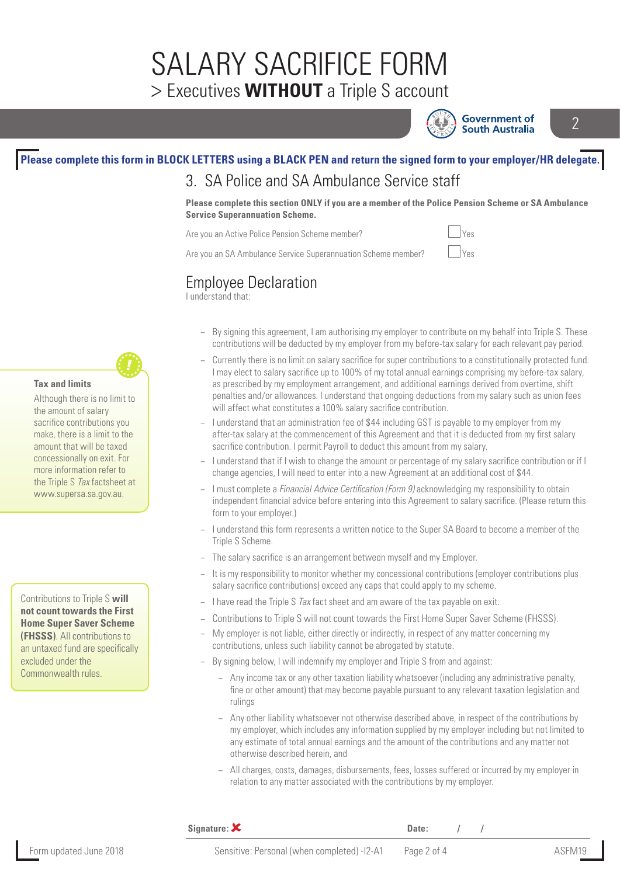## SALARY SACRIFICE FORM > Executives **WITHOUT** a Triple S account



**Government of South Australia**   $\overline{\mathcal{L}}$ 

#### **Please complete this form in BLOCK LETTERS using a BLACK PEN and return the signed form to your employer/HR delegate.** 3. SA Police and SA Ambulance Service staff

**Please complete this section ONLY if you are a member of the Police Pension Scheme or SA Ambulance Service Superannuation Scheme.** 

Are you an Active Police Pension Scheme member?  $\Box$  Yes

Are you an SA Ambulance Service Superannuation Scheme member?  $\Box$  Yes

### Employee Declaration

I understand that:

- − By signing this agreement, I am authorising my employer to contribute on my behalf into Triple S. These contributions will be deducted by my employer from my before-tax salary for each relevant pay period.
- − Currently there is no limit on salary sacrifice for super contributions to a constitutionally protected fund. I may elect to salary sacrifice up to 100% of my total annual earnings comprising my before-tax salary, as prescribed by my employment arrangement, and additional earnings derived from overtime, shift penalties and/or allowances. I understand that ongoing deductions from my salary such as union fees will affect what constitutes a 100% salary sacrifice contribution.
- − I understand that an administration fee of \$44 including GST is payable to my employer from my after-tax salary at the commencement of this Agreement and that it is deducted from my first salary sacrifice contribution. I permit Payroll to deduct this amount from my salary.
- − I understand that if I wish to change the amount or percentage of my salary sacrifice contribution or if I change agencies, I will need to enter into a new Agreement at an additional cost of \$44.
- − I must complete a *Financial Advice Certification (Form 9)* acknowledging my responsibility to obtain independent financial advice before entering into this Agreement to salary sacrifice. (Please return this form to your employer.)
- − I understand this form represents a written notice to the Super SA Board to become a member of the Triple S Scheme.
- The salary sacrifice is an arrangement between myself and my Employer.
- − It is my responsibility to monitor whether my concessional contributions (employer contributions plus salary sacrifice contributions) exceed any caps that could apply to my scheme.
- − I have read the Triple S *Tax* fact sheet and am aware of the tax payable on exit.
- − Contributions to Triple S will not count towards the First Home Super Saver Scheme (FHSSS).
- − My employer is not liable, either directly or indirectly, in respect of any matter concerning my contributions, unless such liability cannot be abrogated by statute.
- − By signing below, I will indemnify my employer and Triple S from and against:
	- Any income tax or any other taxation liability whatsoever (including any administrative penalty, fine or other amount) that may become payable pursuant to any relevant taxation legislation and rulings
	- − Any other liability whatsoever not otherwise described above, in respect of the contributions by my employer, which includes any information supplied by my employer including but not limited to any estimate of total annual earnings and the amount of the contributions and any matter not otherwise described herein, and
	- − All charges, costs, damages, disbursements, fees, losses suffered or incurred by my employer in relation to any matter associated with the contributions by my employer.

#### **Tax and limits**

Although there is no limit to the amount of salary sacrifice contributions you make, there is a limit to the amount that will be taxed concessionally on exit. For more information refer to the Triple S *Tax* factsheet at www.supersa.sa.gov.au.

Contributions to Triple S **will not count towards the First Home Super Saver Scheme (FHSSS)**. All contributions to an untaxed fund are specifically excluded under the Commonwealth rules.

**Signature:**  $\boldsymbol{\mathsf{X}}$  **Date:** */ / /* 

Form updated June 2018 **Sensitive: Personal (when completed)** -I2-A1 Page 2 of 4 ASFM19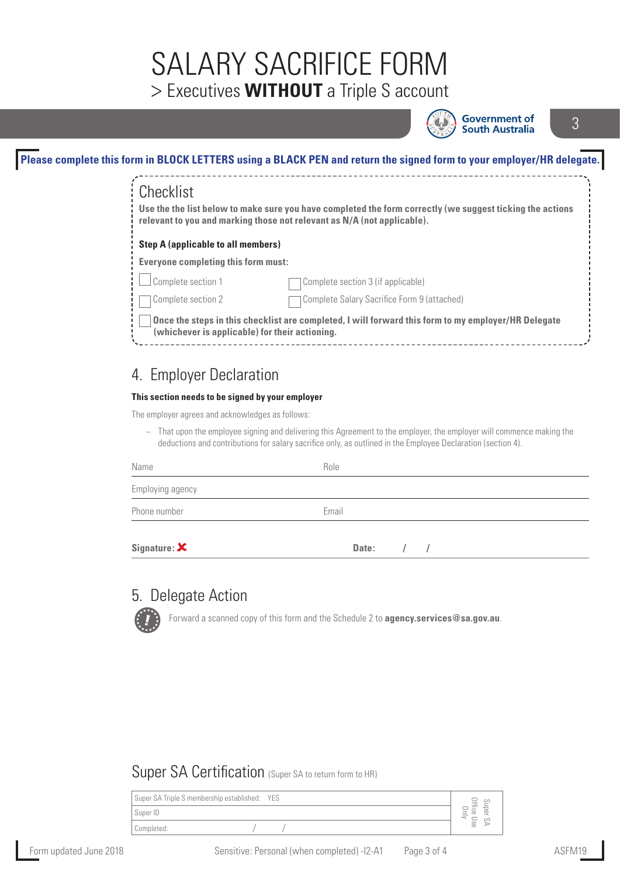# SALARY SACRIFICE FORM > Executives **WITHOUT** a Triple S account



**Government of South Australia** 

3

| Checklist                                      | Use the the list below to make sure you have completed the form correctly (we suggest ticking the actions<br>relevant to you and marking those not relevant as N/A (not applicable). |
|------------------------------------------------|--------------------------------------------------------------------------------------------------------------------------------------------------------------------------------------|
| <b>Step A (applicable to all members)</b>      |                                                                                                                                                                                      |
| <b>Everyone completing this form must:</b>     |                                                                                                                                                                                      |
| Complete section 1                             | Complete section 3 (if applicable)                                                                                                                                                   |
| Complete section 2                             | Complete Salary Sacrifice Form 9 (attached)                                                                                                                                          |
| (whichever is applicable) for their actioning. | Once the steps in this checklist are completed, I will forward this form to my employer/HR Delegate                                                                                  |

## 4. Employer Declaration

#### **This section needs to be signed by your employer**

The employer agrees and acknowledges as follows:

− That upon the employee signing and delivering this Agreement to the employer, the employer will commence making the deductions and contributions for salary sacrifice only, as outlined in the Employee Declaration (section 4).

| Name                         | Role                |
|------------------------------|---------------------|
| Employing agency             |                     |
| Phone number                 | Email               |
| Signature: $\bm{\mathsf{X}}$ | Date:<br>$\sqrt{1}$ |

#### 5. Delegate Action

Forward a scanned copy of this form and the Schedule 2 to **agency.services@sa.gov.au**.

#### Super SA Certification (Super SA to return form to HR)

| Super SA Triple S membership established: YES | $\rightarrow$            |
|-----------------------------------------------|--------------------------|
| Super ID                                      | Œ<br>$\equiv$<br>$\circ$ |
| Completed:                                    | Se                       |